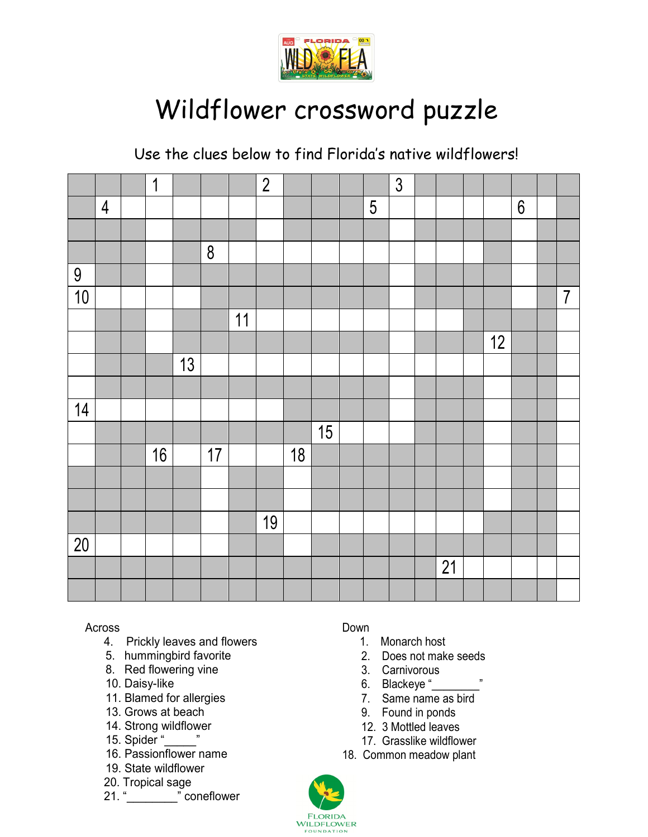

# Wildflower crossword puzzle

Use the clues below to find Florida's native wildflowers!

|                 |                | $\overline{1}$ |    |         |    | $\overline{2}$ |    |    |                 | $\overline{3}$ |                 |    |                  |                |
|-----------------|----------------|----------------|----|---------|----|----------------|----|----|-----------------|----------------|-----------------|----|------------------|----------------|
|                 | $\overline{4}$ |                |    |         |    |                |    |    | $5\phantom{.0}$ |                |                 |    | $\boldsymbol{6}$ |                |
|                 |                |                |    |         |    |                |    |    |                 |                |                 |    |                  |                |
|                 |                |                |    | $\bf 8$ |    |                |    |    |                 |                |                 |    |                  |                |
| 9               |                |                |    |         |    |                |    |    |                 |                |                 |    |                  |                |
| 10              |                |                |    |         |    |                |    |    |                 |                |                 |    |                  | $\overline{7}$ |
|                 |                |                |    |         | 11 |                |    |    |                 |                |                 |    |                  |                |
|                 |                |                |    |         |    |                |    |    |                 |                |                 | 12 |                  |                |
|                 |                |                | 13 |         |    |                |    |    |                 |                |                 |    |                  |                |
|                 |                |                |    |         |    |                |    |    |                 |                |                 |    |                  |                |
| 14              |                |                |    |         |    |                |    |    |                 |                |                 |    |                  |                |
|                 |                |                |    |         |    |                |    | 15 |                 |                |                 |    |                  |                |
|                 |                | 16             |    | 17      |    |                | 18 |    |                 |                |                 |    |                  |                |
|                 |                |                |    |         |    |                |    |    |                 |                |                 |    |                  |                |
|                 |                |                |    |         |    |                |    |    |                 |                |                 |    |                  |                |
|                 |                |                |    |         |    | 19             |    |    |                 |                |                 |    |                  |                |
| $\overline{20}$ |                |                |    |         |    |                |    |    |                 |                |                 |    |                  |                |
|                 |                |                |    |         |    |                |    |    |                 |                | $\overline{21}$ |    |                  |                |
|                 |                |                |    |         |    |                |    |    |                 |                |                 |    |                  |                |

Across

- 4. Prickly leaves and flowers
- 5. hummingbird favorite
- 8. Red flowering vine
- 10. Daisy-like
- 11. Blamed for allergies
- 13. Grows at beach
- 14. Strong wildflower
- 15. Spider "\_\_\_\_\_"
- 16. Passionflower name
- 19. State wildflower
- 20. Tropical sage
- 21. " coneflower

### Down

- 1. Monarch host
- 2. Does not make seeds
- 3. Carnivorous
- 6. Blackeye "
- 7. Same name as bird
- 9. Found in ponds
- 12. 3 Mottled leaves
- 17. Grasslike wildflower
- 18. Common meadow plant